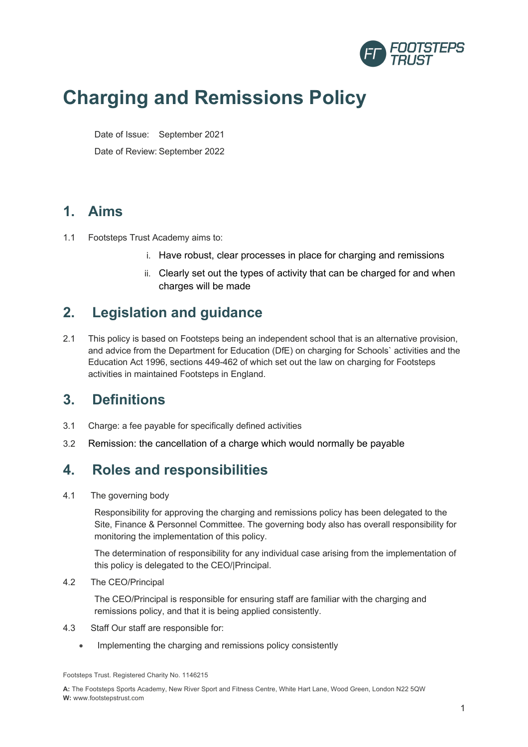

# **Charging and Remissions Policy**

Date of Issue: September 2021

Date of Review: September 2022

#### **1. Aims**

- 1.1 Footsteps Trust Academy aims to:
	- i. Have robust, clear processes in place for charging and remissions
	- ii. Clearly set out the types of activity that can be charged for and when charges will be made

#### **2. Legislation and guidance**

2.1 This policy is based on Footsteps being an independent school that is an alternative provision, and advice from the Department for Education (DfE) on charging for Schools` activities and the Education Act 1996, sections 449-462 of which set out the law on charging for Footsteps activities in maintained Footsteps in England.

### **3. Definitions**

- 3.1 Charge: a fee payable for specifically defined activities
- 3.2 Remission: the cancellation of a charge which would normally be payable

#### **4. Roles and responsibilities**

4.1 The governing body

Responsibility for approving the charging and remissions policy has been delegated to the Site, Finance & Personnel Committee. The governing body also has overall responsibility for monitoring the implementation of this policy.

The determination of responsibility for any individual case arising from the implementation of this policy is delegated to the CEO/|Principal.

4.2 The CEO/Principal

The CEO/Principal is responsible for ensuring staff are familiar with the charging and remissions policy, and that it is being applied consistently.

- 4.3 Staff Our staff are responsible for:
	- Implementing the charging and remissions policy consistently

Footsteps Trust. Registered Charity No. 1146215

**A:** The Footsteps Sports Academy, New River Sport and Fitness Centre, White Hart Lane, Wood Green, London N22 5QW **W:** www.footstepstrust.com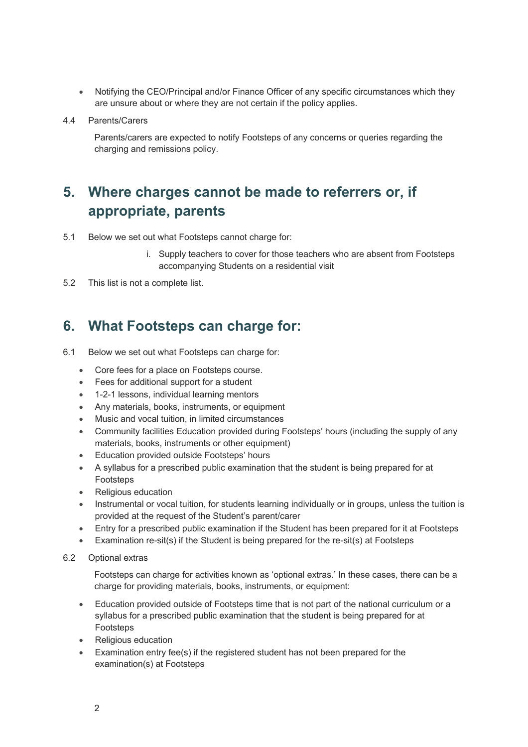- Notifying the CEO/Principal and/or Finance Officer of any specific circumstances which they are unsure about or where they are not certain if the policy applies.
- 4.4 Parents/Carers

Parents/carers are expected to notify Footsteps of any concerns or queries regarding the charging and remissions policy.

## **5. Where charges cannot be made to referrers or, if appropriate, parents**

- 5.1 Below we set out what Footsteps cannot charge for:
	- i. Supply teachers to cover for those teachers who are absent from Footsteps accompanying Students on a residential visit
- 5.2 This list is not a complete list.

#### **6. What Footsteps can charge for:**

- 6.1 Below we set out what Footsteps can charge for:
	- Core fees for a place on Footsteps course.
	- Fees for additional support for a student
	- 1-2-1 lessons, individual learning mentors
	- Any materials, books, instruments, or equipment
	- Music and vocal tuition, in limited circumstances
	- Community facilities Education provided during Footsteps' hours (including the supply of any materials, books, instruments or other equipment)
	- Education provided outside Footsteps' hours
	- A syllabus for a prescribed public examination that the student is being prepared for at Footsteps
	- Religious education
	- Instrumental or vocal tuition, for students learning individually or in groups, unless the tuition is provided at the request of the Student's parent/carer
	- Entry for a prescribed public examination if the Student has been prepared for it at Footsteps
	- Examination re-sit(s) if the Student is being prepared for the re-sit(s) at Footsteps
- 6.2 Optional extras

Footsteps can charge for activities known as 'optional extras.' In these cases, there can be a charge for providing materials, books, instruments, or equipment:

- Education provided outside of Footsteps time that is not part of the national curriculum or a syllabus for a prescribed public examination that the student is being prepared for at Footsteps
- Religious education
- Examination entry fee(s) if the registered student has not been prepared for the examination(s) at Footsteps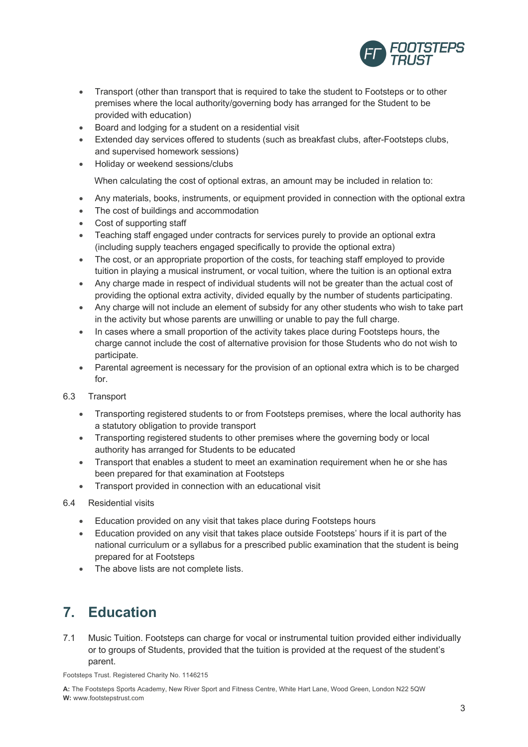

- Transport (other than transport that is required to take the student to Footsteps or to other premises where the local authority/governing body has arranged for the Student to be provided with education)
- Board and lodging for a student on a residential visit
- Extended day services offered to students (such as breakfast clubs, after-Footsteps clubs, and supervised homework sessions)
- Holiday or weekend sessions/clubs

When calculating the cost of optional extras, an amount may be included in relation to:

- Any materials, books, instruments, or equipment provided in connection with the optional extra
- The cost of buildings and accommodation
- Cost of supporting staff
- Teaching staff engaged under contracts for services purely to provide an optional extra (including supply teachers engaged specifically to provide the optional extra)
- The cost, or an appropriate proportion of the costs, for teaching staff employed to provide tuition in playing a musical instrument, or vocal tuition, where the tuition is an optional extra
- Any charge made in respect of individual students will not be greater than the actual cost of providing the optional extra activity, divided equally by the number of students participating.
- Any charge will not include an element of subsidy for any other students who wish to take part in the activity but whose parents are unwilling or unable to pay the full charge.
- In cases where a small proportion of the activity takes place during Footsteps hours, the charge cannot include the cost of alternative provision for those Students who do not wish to participate.
- Parental agreement is necessary for the provision of an optional extra which is to be charged for.

#### 6.3 Transport

- Transporting registered students to or from Footsteps premises, where the local authority has a statutory obligation to provide transport
- Transporting registered students to other premises where the governing body or local authority has arranged for Students to be educated
- Transport that enables a student to meet an examination requirement when he or she has been prepared for that examination at Footsteps
- Transport provided in connection with an educational visit
- 6.4 Residential visits
	- Education provided on any visit that takes place during Footsteps hours
	- Education provided on any visit that takes place outside Footsteps' hours if it is part of the national curriculum or a syllabus for a prescribed public examination that the student is being prepared for at Footsteps
	- The above lists are not complete lists.

### **7. Education**

7.1 Music Tuition. Footsteps can charge for vocal or instrumental tuition provided either individually or to groups of Students, provided that the tuition is provided at the request of the student's parent.

Footsteps Trust. Registered Charity No. 1146215

**A:** The Footsteps Sports Academy, New River Sport and Fitness Centre, White Hart Lane, Wood Green, London N22 5QW **W:** www.footstepstrust.com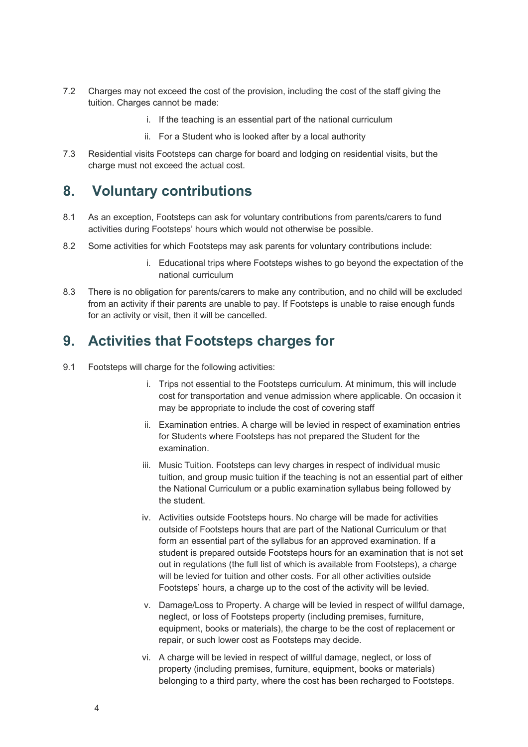- 7.2 Charges may not exceed the cost of the provision, including the cost of the staff giving the tuition. Charges cannot be made:
	- i. If the teaching is an essential part of the national curriculum
	- ii. For a Student who is looked after by a local authority
- 7.3 Residential visits Footsteps can charge for board and lodging on residential visits, but the charge must not exceed the actual cost.

#### **8. Voluntary contributions**

- 8.1 As an exception, Footsteps can ask for voluntary contributions from parents/carers to fund activities during Footsteps' hours which would not otherwise be possible.
- 8.2 Some activities for which Footsteps may ask parents for voluntary contributions include:
	- i. Educational trips where Footsteps wishes to go beyond the expectation of the national curriculum
- 8.3 There is no obligation for parents/carers to make any contribution, and no child will be excluded from an activity if their parents are unable to pay. If Footsteps is unable to raise enough funds for an activity or visit, then it will be cancelled.

#### **9. Activities that Footsteps charges for**

- 9.1 Footsteps will charge for the following activities:
	- i. Trips not essential to the Footsteps curriculum. At minimum, this will include cost for transportation and venue admission where applicable. On occasion it may be appropriate to include the cost of covering staff
	- ii. Examination entries. A charge will be levied in respect of examination entries for Students where Footsteps has not prepared the Student for the examination.
	- iii. Music Tuition. Footsteps can levy charges in respect of individual music tuition, and group music tuition if the teaching is not an essential part of either the National Curriculum or a public examination syllabus being followed by the student.
	- iv. Activities outside Footsteps hours. No charge will be made for activities outside of Footsteps hours that are part of the National Curriculum or that form an essential part of the syllabus for an approved examination. If a student is prepared outside Footsteps hours for an examination that is not set out in regulations (the full list of which is available from Footsteps), a charge will be levied for tuition and other costs. For all other activities outside Footsteps' hours, a charge up to the cost of the activity will be levied.
	- v. Damage/Loss to Property. A charge will be levied in respect of willful damage, neglect, or loss of Footsteps property (including premises, furniture, equipment, books or materials), the charge to be the cost of replacement or repair, or such lower cost as Footsteps may decide.
	- vi. A charge will be levied in respect of willful damage, neglect, or loss of property (including premises, furniture, equipment, books or materials) belonging to a third party, where the cost has been recharged to Footsteps.